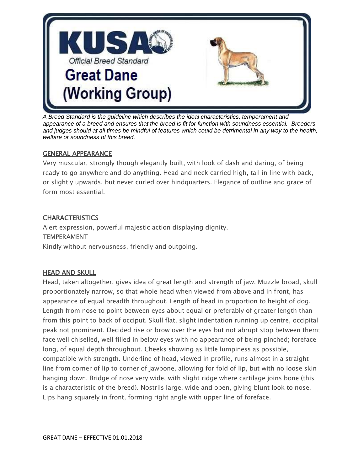

*A Breed Standard is the guideline which describes the ideal characteristics, temperament and appearance of a breed and ensures that the breed is fit for function with soundness essential. Breeders and judges should at all times be mindful of features which could be detrimental in any way to the health, welfare or soundness of this breed.*

#### GENERAL APPEARANCE

Very muscular, strongly though elegantly built, with look of dash and daring, of being ready to go anywhere and do anything. Head and neck carried high, tail in line with back, or slightly upwards, but never curled over hindquarters. Elegance of outline and grace of form most essential.

#### **CHARACTERISTICS**

Alert expression, powerful majestic action displaying dignity. TEMPERAMENT Kindly without nervousness, friendly and outgoing.

### HEAD AND SKULL

Head, taken altogether, gives idea of great length and strength of jaw. Muzzle broad, skull proportionately narrow, so that whole head when viewed from above and in front, has appearance of equal breadth throughout. Length of head in proportion to height of dog. Length from nose to point between eyes about equal or preferably of greater length than from this point to back of occiput. Skull flat, slight indentation running up centre, occipital peak not prominent. Decided rise or brow over the eyes but not abrupt stop between them; face well chiselled, well filled in below eyes with no appearance of being pinched; foreface long, of equal depth throughout. Cheeks showing as little lumpiness as possible, compatible with strength. Underline of head, viewed in profile, runs almost in a straight line from corner of lip to corner of jawbone, allowing for fold of lip, but with no loose skin hanging down. Bridge of nose very wide, with slight ridge where cartilage joins bone (this is a characteristic of the breed). Nostrils large, wide and open, giving blunt look to nose. Lips hang squarely in front, forming right angle with upper line of foreface.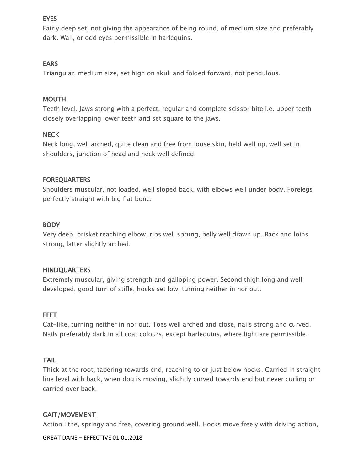# **EYES**

Fairly deep set, not giving the appearance of being round, of medium size and preferably dark. Wall, or odd eyes permissible in harlequins.

### EARS

Triangular, medium size, set high on skull and folded forward, not pendulous.

### **MOUTH**

Teeth level. Jaws strong with a perfect, regular and complete scissor bite i.e. upper teeth closely overlapping lower teeth and set square to the jaws.

# **NECK**

Neck long, well arched, quite clean and free from loose skin, held well up, well set in shoulders, junction of head and neck well defined.

### **FOREQUARTERS**

Shoulders muscular, not loaded, well sloped back, with elbows well under body. Forelegs perfectly straight with big flat bone.

### BODY

Very deep, brisket reaching elbow, ribs well sprung, belly well drawn up. Back and loins strong, latter slightly arched.

### **HINDQUARTERS**

Extremely muscular, giving strength and galloping power. Second thigh long and well developed, good turn of stifle, hocks set low, turning neither in nor out.

# FEET

Cat-like, turning neither in nor out. Toes well arched and close, nails strong and curved. Nails preferably dark in all coat colours, except harlequins, where light are permissible.

# TAIL

Thick at the root, tapering towards end, reaching to or just below hocks. Carried in straight line level with back, when dog is moving, slightly curved towards end but never curling or carried over back.

### GAIT/MOVEMENT

Action lithe, springy and free, covering ground well. Hocks move freely with driving action,

GREAT DANE – EFFECTIVE 01.01.2018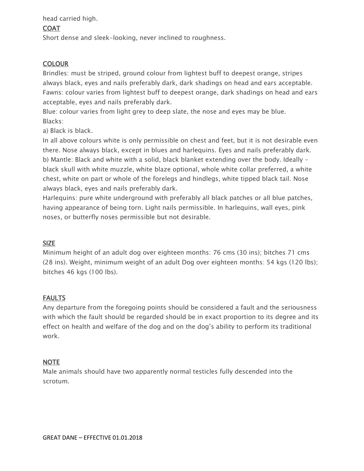head carried high.

### **COAT**

Short dense and sleek-looking, never inclined to roughness.

# **COLOUR**

Brindles: must be striped, ground colour from lightest buff to deepest orange, stripes always black, eyes and nails preferably dark, dark shadings on head and ears acceptable. Fawns: colour varies from lightest buff to deepest orange, dark shadings on head and ears acceptable, eyes and nails preferably dark.

Blue: colour varies from light grey to deep slate, the nose and eyes may be blue. Blacks:

a) Black is black.

In all above colours white is only permissible on chest and feet, but it is not desirable even there. Nose always black, except in blues and harlequins. Eyes and nails preferably dark. b) Mantle: Black and white with a solid, black blanket extending over the body. Ideally – black skull with white muzzle, white blaze optional, whole white collar preferred, a white chest, white on part or whole of the forelegs and hindlegs, white tipped black tail. Nose always black, eyes and nails preferably dark.

Harlequins: pure white underground with preferably all black patches or all blue patches, having appearance of being torn. Light nails permissible. In harlequins, wall eyes, pink noses, or butterfly noses permissible but not desirable.

# SIZE

Minimum height of an adult dog over eighteen months: 76 cms (30 ins); bitches 71 cms (28 ins). Weight, minimum weight of an adult Dog over eighteen months: 54 kgs (120 lbs); bitches 46 kgs (100 lbs).

# FAULTS

Any departure from the foregoing points should be considered a fault and the seriousness with which the fault should be regarded should be in exact proportion to its degree and its effect on health and welfare of the dog and on the dog's ability to perform its traditional work.

# NOTE

Male animals should have two apparently normal testicles fully descended into the scrotum.